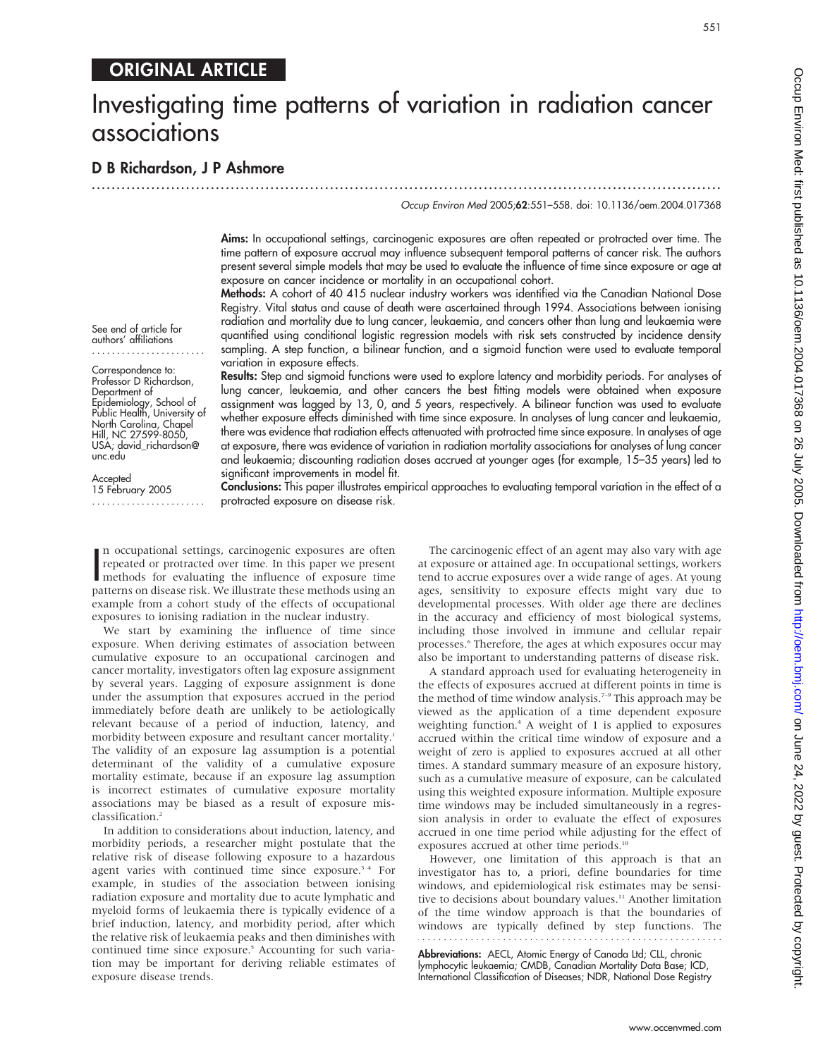# Investigating time patterns of variation in radiation cancer associations

...............................................................................................................................

D B Richardson, J P Ashmore

See end of article for authors' affiliations ....................... Correspondence to: Professor D Richardson, Department of Epidemiology, School of Public Health, University of North Carolina, Chapel Hill, NC 27599-8050, USA; david\_richardson@

unc.edu Accepted 15 February 2005 ....................... Occup Environ Med 2005;62:551–558. doi: 10.1136/oem.2004.017368

Aims: In occupational settings, carcinogenic exposures are often repeated or protracted over time. The time pattern of exposure accrual may influence subsequent temporal patterns of cancer risk. The authors present several simple models that may be used to evaluate the influence of time since exposure or age at exposure on cancer incidence or mortality in an occupational cohort.

Methods: A cohort of 40 415 nuclear industry workers was identified via the Canadian National Dose Registry. Vital status and cause of death were ascertained through 1994. Associations between ionising radiation and mortality due to lung cancer, leukaemia, and cancers other than lung and leukaemia were quantified using conditional logistic regression models with risk sets constructed by incidence density sampling. A step function, a bilinear function, and a sigmoid function were used to evaluate temporal variation in exposure effects.

Results: Step and sigmoid functions were used to explore latency and morbidity periods. For analyses of lung cancer, leukaemia, and other cancers the best fitting models were obtained when exposure assignment was lagged by 13, 0, and 5 years, respectively. A bilinear function was used to evaluate whether exposure effects diminished with time since exposure. In analyses of lung cancer and leukaemia, there was evidence that radiation effects attenuated with protracted time since exposure. In analyses of age at exposure, there was evidence of variation in radiation mortality associations for analyses of lung cancer and leukaemia; discounting radiation doses accrued at younger ages (for example, 15–35 years) led to significant improvements in model fit.

Conclusions: This paper illustrates empirical approaches to evaluating temporal variation in the effect of a protracted exposure on disease risk.

In occupational settings, carcinogenic exposures are often<br>repeated or protracted over time. In this paper we present<br>methods for evaluating the influence of exposure time<br>natterns on disease risk We illustrate these metho n occupational settings, carcinogenic exposures are often repeated or protracted over time. In this paper we present patterns on disease risk. We illustrate these methods using an example from a cohort study of the effects of occupational exposures to ionising radiation in the nuclear industry.

We start by examining the influence of time since exposure. When deriving estimates of association between cumulative exposure to an occupational carcinogen and cancer mortality, investigators often lag exposure assignment by several years. Lagging of exposure assignment is done under the assumption that exposures accrued in the period immediately before death are unlikely to be aetiologically relevant because of a period of induction, latency, and morbidity between exposure and resultant cancer mortality.<sup>1</sup> The validity of an exposure lag assumption is a potential determinant of the validity of a cumulative exposure mortality estimate, because if an exposure lag assumption is incorrect estimates of cumulative exposure mortality associations may be biased as a result of exposure misclassification.2

In addition to considerations about induction, latency, and morbidity periods, a researcher might postulate that the relative risk of disease following exposure to a hazardous agent varies with continued time since exposure.<sup>34</sup> For example, in studies of the association between ionising radiation exposure and mortality due to acute lymphatic and myeloid forms of leukaemia there is typically evidence of a brief induction, latency, and morbidity period, after which the relative risk of leukaemia peaks and then diminishes with continued time since exposure.<sup>5</sup> Accounting for such variation may be important for deriving reliable estimates of exposure disease trends.

The carcinogenic effect of an agent may also vary with age at exposure or attained age. In occupational settings, workers tend to accrue exposures over a wide range of ages. At young ages, sensitivity to exposure effects might vary due to developmental processes. With older age there are declines in the accuracy and efficiency of most biological systems, including those involved in immune and cellular repair processes.<sup>6</sup> Therefore, the ages at which exposures occur may also be important to understanding patterns of disease risk.

A standard approach used for evaluating heterogeneity in the effects of exposures accrued at different points in time is the method of time window analysis.<sup>7-9</sup> This approach may be viewed as the application of a time dependent exposure weighting function.<sup>4</sup> A weight of 1 is applied to exposures accrued within the critical time window of exposure and a weight of zero is applied to exposures accrued at all other times. A standard summary measure of an exposure history, such as a cumulative measure of exposure, can be calculated using this weighted exposure information. Multiple exposure time windows may be included simultaneously in a regression analysis in order to evaluate the effect of exposures accrued in one time period while adjusting for the effect of exposures accrued at other time periods.<sup>10</sup>

However, one limitation of this approach is that an investigator has to, a priori, define boundaries for time windows, and epidemiological risk estimates may be sensitive to decisions about boundary values.<sup>11</sup> Another limitation of the time window approach is that the boundaries of windows are typically defined by step functions. The

**Abbreviations:** AECL, Atomic Energy of Canada Ltd; CLL, chronic lymphocytic leukaemia; CMDB, Canadian Mortality Data Base; ICD, International Classification of Diseases; NDR, National Dose Registry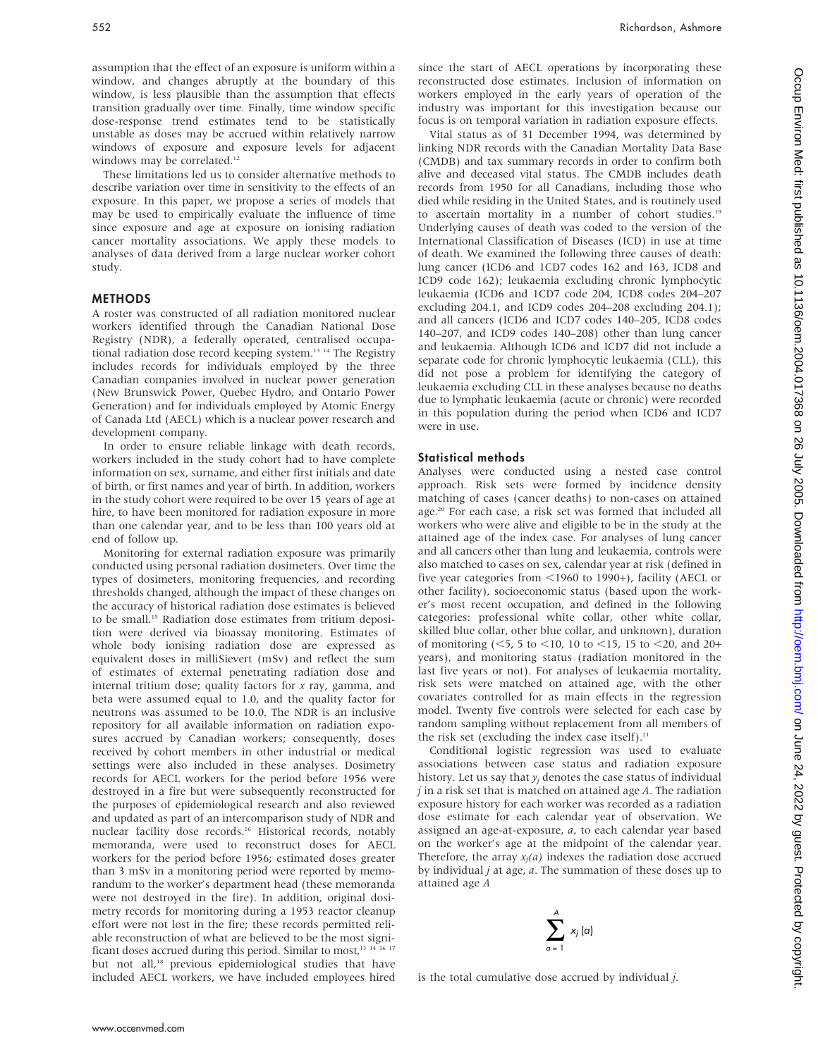assumption that the effect of an exposure is uniform within a window, and changes abruptly at the boundary of this window, is less plausible than the assumption that effects transition gradually over time. Finally, time window specific dose-response trend estimates tend to be statistically unstable as doses may be accrued within relatively narrow windows of exposure and exposure levels for adjacent windows may be correlated.<sup>12</sup>

These limitations led us to consider alternative methods to describe variation over time in sensitivity to the effects of an exposure. In this paper, we propose a series of models that may be used to empirically evaluate the influence of time since exposure and age at exposure on ionising radiation cancer mortality associations. We apply these models to analyses of data derived from a large nuclear worker cohort study.

## **METHODS**

A roster was constructed of all radiation monitored nuclear workers identified through the Canadian National Dose Registry (NDR), a federally operated, centralised occupational radiation dose record keeping system.<sup>13 14</sup> The Registry includes records for individuals employed by the three Canadian companies involved in nuclear power generation (New Brunswick Power, Quebec Hydro, and Ontario Power Generation) and for individuals employed by Atomic Energy of Canada Ltd (AECL) which is a nuclear power research and development company.

In order to ensure reliable linkage with death records, workers included in the study cohort had to have complete information on sex, surname, and either first initials and date of birth, or first names and year of birth. In addition, workers in the study cohort were required to be over 15 years of age at hire, to have been monitored for radiation exposure in more than one calendar year, and to be less than 100 years old at end of follow up.

Monitoring for external radiation exposure was primarily conducted using personal radiation dosimeters. Over time the types of dosimeters, monitoring frequencies, and recording thresholds changed, although the impact of these changes on the accuracy of historical radiation dose estimates is believed to be small.15 Radiation dose estimates from tritium deposition were derived via bioassay monitoring. Estimates of whole body ionising radiation dose are expressed as equivalent doses in milliSievert (mSv) and reflect the sum of estimates of external penetrating radiation dose and internal tritium dose; quality factors for  $x$  ray, gamma, and beta were assumed equal to 1.0, and the quality factor for neutrons was assumed to be 10.0. The NDR is an inclusive repository for all available information on radiation exposures accrued by Canadian workers; consequently, doses received by cohort members in other industrial or medical settings were also included in these analyses. Dosimetry records for AECL workers for the period before 1956 were destroyed in a fire but were subsequently reconstructed for the purposes of epidemiological research and also reviewed and updated as part of an intercomparison study of NDR and nuclear facility dose records.<sup>16</sup> Historical records, notably memoranda, were used to reconstruct doses for AECL workers for the period before 1956; estimated doses greater than 3 mSv in a monitoring period were reported by memorandum to the worker's department head (these memoranda were not destroyed in the fire). In addition, original dosimetry records for monitoring during a 1953 reactor cleanup effort were not lost in the fire; these records permitted reliable reconstruction of what are believed to be the most significant doses accrued during this period. Similar to most,<sup>13 14 16</sup> 17 but not all,<sup>18</sup> previous epidemiological studies that have included AECL workers, we have included employees hired since the start of AECL operations by incorporating these reconstructed dose estimates. Inclusion of information on workers employed in the early years of operation of the industry was important for this investigation because our focus is on temporal variation in radiation exposure effects.

Vital status as of 31 December 1994, was determined by linking NDR records with the Canadian Mortality Data Base (CMDB) and tax summary records in order to confirm both alive and deceased vital status. The CMDB includes death records from 1950 for all Canadians, including those who died while residing in the United States, and is routinely used to ascertain mortality in a number of cohort studies.<sup>19</sup> Underlying causes of death was coded to the version of the International Classification of Diseases (ICD) in use at time of death. We examined the following three causes of death: lung cancer (ICD6 and 1CD7 codes 162 and 163, ICD8 and ICD9 code 162); leukaemia excluding chronic lymphocytic leukaemia (ICD6 and 1CD7 code 204, ICD8 codes 204–207 excluding 204.1, and ICD9 codes 204–208 excluding 204.1); and all cancers (ICD6 and ICD7 codes 140–205, ICD8 codes 140–207, and ICD9 codes 140–208) other than lung cancer and leukaemia. Although ICD6 and ICD7 did not include a separate code for chronic lymphocytic leukaemia (CLL), this did not pose a problem for identifying the category of leukaemia excluding CLL in these analyses because no deaths due to lymphatic leukaemia (acute or chronic) were recorded in this population during the period when ICD6 and ICD7 were in use.

### Statistical methods

Analyses were conducted using a nested case control approach. Risk sets were formed by incidence density matching of cases (cancer deaths) to non-cases on attained age.<sup>20</sup> For each case, a risk set was formed that included all workers who were alive and eligible to be in the study at the attained age of the index case. For analyses of lung cancer and all cancers other than lung and leukaemia, controls were also matched to cases on sex, calendar year at risk (defined in five year categories from  $\leq$ 1960 to 1990+), facility (AECL or other facility), socioeconomic status (based upon the worker's most recent occupation, and defined in the following categories: professional white collar, other white collar, skilled blue collar, other blue collar, and unknown), duration of monitoring ( $\le$ 5, 5 to  $\le$ 10, 10 to  $\le$ 15, 15 to  $\le$ 20, and 20+ years), and monitoring status (radiation monitored in the last five years or not). For analyses of leukaemia mortality, risk sets were matched on attained age, with the other covariates controlled for as main effects in the regression model. Twenty five controls were selected for each case by random sampling without replacement from all members of the risk set (excluding the index case itself). $21$ 

Conditional logistic regression was used to evaluate associations between case status and radiation exposure history. Let us say that  $y_i$  denotes the case status of individual  $j$  in a risk set that is matched on attained age  $A$ . The radiation exposure history for each worker was recorded as a radiation dose estimate for each calendar year of observation. We assigned an age-at-exposure, a, to each calendar year based on the worker's age at the midpoint of the calendar year. Therefore, the array  $x_j(a)$  indexes the radiation dose accrued by individual  $j$  at age,  $a$ . The summation of these doses up to attained age A

$$
\sum_{a=1}^A x_j(a)
$$

is the total cumulative dose accrued by individual j.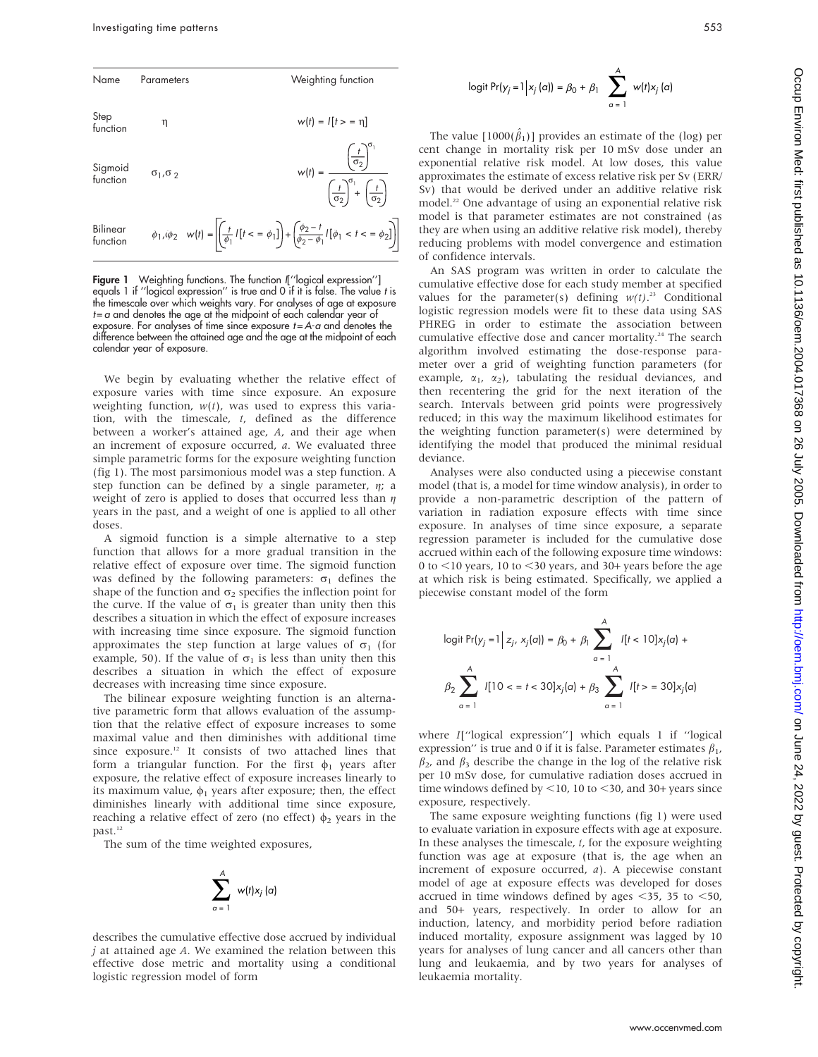

**Figure 1** Weighting functions. The function I[''logical expression''] equals 1 if ''logical expression'' is true and 0 if it is false. The value t is the timescale over which weights vary. For analyses of age at exposure  $t = a$  and denotes the age at the midpoint of each calendar year of exposure. For analyses of time since exposure  $t = A$ -a and denotes the difference between the attained age and the age at the midpoint of each calendar year of exposure.

We begin by evaluating whether the relative effect of exposure varies with time since exposure. An exposure weighting function,  $w(t)$ , was used to express this variation, with the timescale, t, defined as the difference between a worker's attained age, A, and their age when an increment of exposure occurred, a. We evaluated three simple parametric forms for the exposure weighting function (fig 1). The most parsimonious model was a step function. A step function can be defined by a single parameter,  $\eta$ ; a weight of zero is applied to doses that occurred less than  $\eta$ years in the past, and a weight of one is applied to all other doses.

A sigmoid function is a simple alternative to a step function that allows for a more gradual transition in the relative effect of exposure over time. The sigmoid function was defined by the following parameters:  $\sigma_1$  defines the shape of the function and  $\sigma_2$  specifies the inflection point for the curve. If the value of  $\sigma_1$  is greater than unity then this describes a situation in which the effect of exposure increases with increasing time since exposure. The sigmoid function approximates the step function at large values of  $\sigma_1$  (for example, 50). If the value of  $\sigma_1$  is less than unity then this describes a situation in which the effect of exposure decreases with increasing time since exposure.

The bilinear exposure weighting function is an alternative parametric form that allows evaluation of the assumption that the relative effect of exposure increases to some maximal value and then diminishes with additional time since exposure.<sup>12</sup> It consists of two attached lines that form a triangular function. For the first  $\phi_1$  years after exposure, the relative effect of exposure increases linearly to its maximum value,  $\phi_1$  years after exposure; then, the effect diminishes linearly with additional time since exposure, reaching a relative effect of zero (no effect)  $\phi_2$  years in the past.<sup>12</sup>

The sum of the time weighted exposures,



describes the cumulative effective dose accrued by individual  $j$  at attained age  $A$ . We examined the relation between this effective dose metric and mortality using a conditional logistic regression model of form

logit Pr(
$$
y_j = 1 | x_j(a) | = \beta_0 + \beta_1
$$
  $\sum_{\alpha=1}^{A} w(t) x_j(a)$ 

The value [1000( $\hat\beta_1$ )] provides an estimate of the (log) per cent change in mortality risk per 10 mSv dose under an exponential relative risk model. At low doses, this value approximates the estimate of excess relative risk per Sv (ERR/ Sv) that would be derived under an additive relative risk model.<sup>22</sup> One advantage of using an exponential relative risk model is that parameter estimates are not constrained (as they are when using an additive relative risk model), thereby reducing problems with model convergence and estimation of confidence intervals.

An SAS program was written in order to calculate the cumulative effective dose for each study member at specified values for the parameter(s) defining  $w(t)$ .<sup>23</sup> Conditional logistic regression models were fit to these data using SAS PHREG in order to estimate the association between cumulative effective dose and cancer mortality.<sup>24</sup> The search algorithm involved estimating the dose-response parameter over a grid of weighting function parameters (for example,  $\alpha_1$ ,  $\alpha_2$ ), tabulating the residual deviances, and then recentering the grid for the next iteration of the search. Intervals between grid points were progressively reduced; in this way the maximum likelihood estimates for the weighting function parameter(s) were determined by identifying the model that produced the minimal residual deviance.

Analyses were also conducted using a piecewise constant model (that is, a model for time window analysis), in order to provide a non-parametric description of the pattern of variation in radiation exposure effects with time since exposure. In analyses of time since exposure, a separate regression parameter is included for the cumulative dose accrued within each of the following exposure time windows: 0 to  $<$ 10 years, 10 to  $<$ 30 years, and 30+ years before the age at which risk is being estimated. Specifically, we applied a piecewise constant model of the form

$$
\text{logit Pr}(y_j = 1 \mid z_j, x_j(a)) = \beta_0 + \beta_1 \sum_{\alpha = 1}^{A} I[t < 10]x_j(a) + \beta_2 \sum_{\alpha = 1}^{A} I[10 < = t < 30]x_j(a) + \beta_3 \sum_{\alpha = 1}^{A} I[t > = 30]x_j(a)
$$

where I[''logical expression''] which equals 1 if ''logical expression'' is true and 0 if it is false. Parameter estimates  $\beta_1$ ,  $\beta_2$ , and  $\beta_3$  describe the change in the log of the relative risk per 10 mSv dose, for cumulative radiation doses accrued in time windows defined by  $\leq$ 10, 10 to  $\leq$ 30, and 30+ years since exposure, respectively.

The same exposure weighting functions (fig 1) were used to evaluate variation in exposure effects with age at exposure. In these analyses the timescale,  $t$ , for the exposure weighting function was age at exposure (that is, the age when an increment of exposure occurred, a). A piecewise constant model of age at exposure effects was developed for doses accrued in time windows defined by ages  $\lt$ 35, 35 to  $\lt$ 50, and 50+ years, respectively. In order to allow for an induction, latency, and morbidity period before radiation induced mortality, exposure assignment was lagged by 10 years for analyses of lung cancer and all cancers other than lung and leukaemia, and by two years for analyses of leukaemia mortality.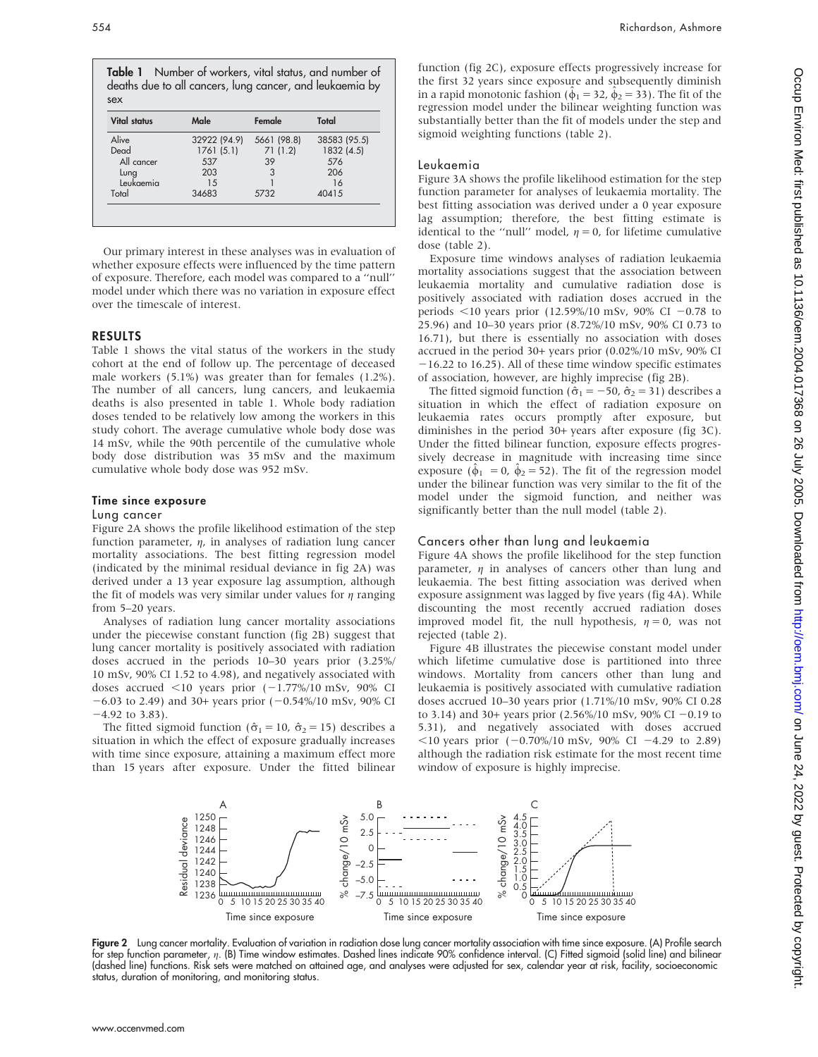Table 1 Number of workers, vital status, and number of deaths due to all cancers, lung cancer, and leukaemia by sex

| <b>Vital status</b> | Male         | Female      | Total        |
|---------------------|--------------|-------------|--------------|
| Alive               | 32922 (94.9) | 5661 (98.8) | 38583 (95.5) |
| Dead                | 1761(5.1)    | 71(1.2)     | 1832 (4.5)   |
| All cancer          | 537          | 39          | 576          |
| Lung                | 203          | 3           | 206          |
| Leukaemia           | 15           |             | 16           |
| Total               | 34683        | 5732        | 40415        |

Our primary interest in these analyses was in evaluation of whether exposure effects were influenced by the time pattern of exposure. Therefore, each model was compared to a ''null'' model under which there was no variation in exposure effect over the timescale of interest.

## RESULTS

Table 1 shows the vital status of the workers in the study cohort at the end of follow up. The percentage of deceased male workers (5.1%) was greater than for females (1.2%). The number of all cancers, lung cancers, and leukaemia deaths is also presented in table 1. Whole body radiation doses tended to be relatively low among the workers in this study cohort. The average cumulative whole body dose was 14 mSv, while the 90th percentile of the cumulative whole body dose distribution was 35 mSv and the maximum cumulative whole body dose was 952 mSv.

# Time since exposure

## Lung cancer

Figure 2A shows the profile likelihood estimation of the step function parameter,  $\eta$ , in analyses of radiation lung cancer mortality associations. The best fitting regression model (indicated by the minimal residual deviance in fig 2A) was derived under a 13 year exposure lag assumption, although the fit of models was very similar under values for  $\eta$  ranging from 5–20 years.

Analyses of radiation lung cancer mortality associations under the piecewise constant function (fig 2B) suggest that lung cancer mortality is positively associated with radiation doses accrued in the periods 10–30 years prior (3.25%/ 10 mSv, 90% CI 1.52 to 4.98), and negatively associated with doses accrued  $\langle 10 \rangle$  years prior (-1.77%/10 mSv, 90% CI  $-6.03$  to 2.49) and 30+ years prior ( $-0.54\%/10$  mSv, 90% CI  $-4.92$  to 3.83).

The fitted sigmoid function ( $\hat{\sigma}_1 = 10$ ,  $\hat{\sigma}_2 = 15$ ) describes a situation in which the effect of exposure gradually increases with time since exposure, attaining a maximum effect more than 15 years after exposure. Under the fitted bilinear function (fig 2C), exposure effects progressively increase for the first 32 years since exposure and subsequently diminish in a rapid monotonic fashion ( $\hat{\phi}_1 = 32$ ,  $\hat{\phi}_2 = 33$ ). The fit of the regression model under the bilinear weighting function was substantially better than the fit of models under the step and sigmoid weighting functions (table 2).

## Leukaemia

Figure 3A shows the profile likelihood estimation for the step function parameter for analyses of leukaemia mortality. The best fitting association was derived under a 0 year exposure lag assumption; therefore, the best fitting estimate is identical to the "null" model,  $\eta = 0$ , for lifetime cumulative dose (table 2).

Exposure time windows analyses of radiation leukaemia mortality associations suggest that the association between leukaemia mortality and cumulative radiation dose is positively associated with radiation doses accrued in the periods  $\leq$ 10 years prior (12.59%/10 mSv, 90% CI -0.78 to 25.96) and 10–30 years prior (8.72%/10 mSv, 90% CI 0.73 to 16.71), but there is essentially no association with doses accrued in the period 30+ years prior (0.02%/10 mSv, 90% CI  $-16.22$  to  $16.25$ ). All of these time window specific estimates of association, however, are highly imprecise (fig 2B).

The fitted sigmoid function ( $\hat{\sigma}_1 = -50$ ,  $\hat{\sigma}_2 = 31$ ) describes a situation in which the effect of radiation exposure on leukaemia rates occurs promptly after exposure, but diminishes in the period 30+ years after exposure (fig 3C). Under the fitted bilinear function, exposure effects progressively decrease in magnitude with increasing time since exposure ( $\hat{\phi}_1 = 0$ ,  $\hat{\phi}_2 = 52$ ). The fit of the regression model under the bilinear function was very similar to the fit of the model under the sigmoid function, and neither was significantly better than the null model (table 2).

#### Cancers other than lung and leukaemia

Figure 4A shows the profile likelihood for the step function parameter,  $\eta$  in analyses of cancers other than lung and leukaemia. The best fitting association was derived when exposure assignment was lagged by five years (fig 4A). While discounting the most recently accrued radiation doses improved model fit, the null hypothesis,  $\eta = 0$ , was not rejected (table 2).

Figure 4B illustrates the piecewise constant model under which lifetime cumulative dose is partitioned into three windows. Mortality from cancers other than lung and leukaemia is positively associated with cumulative radiation doses accrued 10–30 years prior (1.71%/10 mSv, 90% CI 0.28 to 3.14) and 30+ years prior (2.56%/10 mSv, 90% CI -0.19 to 5.31), and negatively associated with doses accrued  $<$ 10 years prior (-0.70%/10 mSv, 90% CI -4.29 to 2.89) although the radiation risk estimate for the most recent time window of exposure is highly imprecise.



Figure 2 Lung cancer mortality. Evaluation of variation in radiation dose lung cancer mortality association with time since exposure. (A) Profile search for step function parameter,  $\eta$ . (B) Time window estimates. Dashed lines indicate 90% confidence interval. (C) Fitted sigmoid (solid line) and bilinear (dashed line) functions. Risk sets were matched on attained age, and analyses were adjusted for sex, calendar year at risk, facility, socioeconomic status, duration of monitoring, and monitoring status.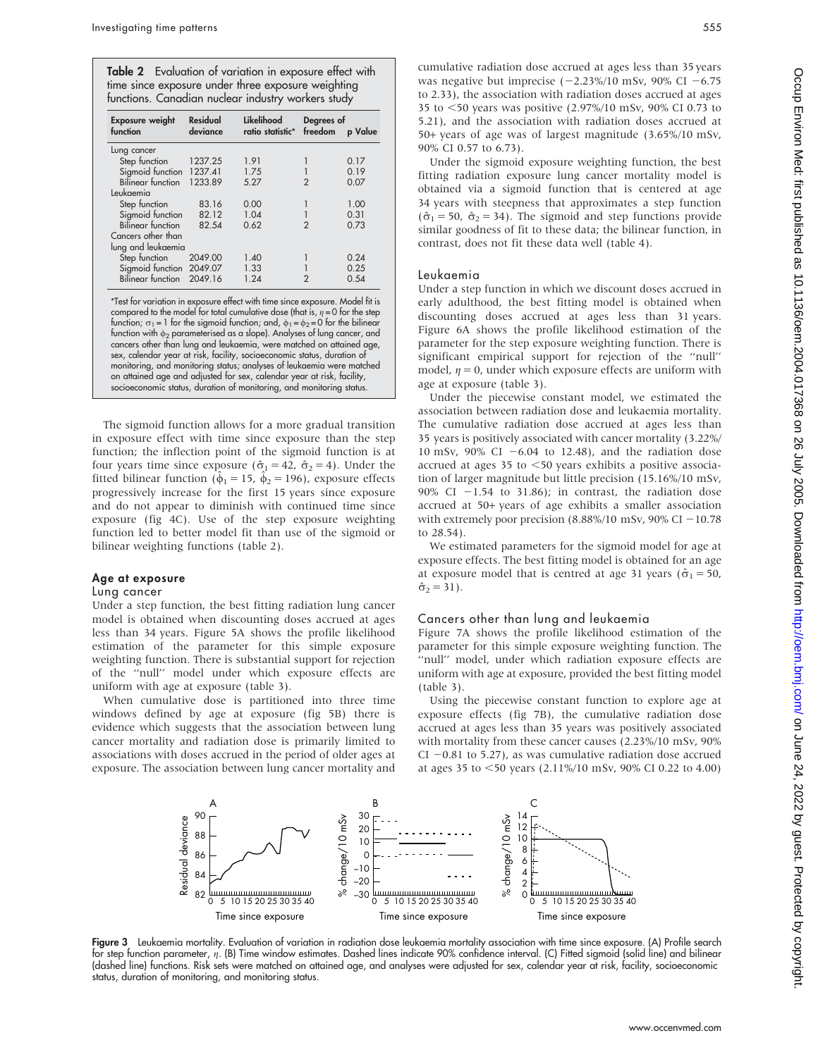Table 2 Evaluation of variation in exposure effect with time since exposure under three exposure weighting functions. Canadian nuclear industry workers study

| <b>Exposure weight</b><br>function | Residual<br>deviance | Likelihood<br>ratio statistic* | Degrees of<br>freedom | p Value |
|------------------------------------|----------------------|--------------------------------|-----------------------|---------|
| Lung cancer                        |                      |                                |                       |         |
| Step function                      | 1237.25              | 1.91                           |                       | 0.17    |
| Sigmoid function                   | 1237.41              | 1.75                           |                       | 0.19    |
| Bilinear function                  | 1233.89              | 5.27                           | 2                     | 0.07    |
| Leukaemia                          |                      |                                |                       |         |
| Step function                      | 83.16                | 0.00                           |                       | 1.00    |
| Sigmoid function                   | 82.12                | 1.04                           |                       | 0.31    |
| <b>Bilinear</b> function           | 82.54                | 0.62                           | 2                     | 0.73    |
| Cancers other than                 |                      |                                |                       |         |
| lung and leukaemia                 |                      |                                |                       |         |
| Step function                      | 2049.00              | 1.40                           |                       | 0.24    |
| Sigmoid function 2049.07           |                      | 1.33                           |                       | 0.25    |
| Bilinear function                  | 2049.16              | 1.24                           | 2                     | 0.54    |

\*Test for variation in exposure effect with time since exposure. Model fit is compared to the model for total cumulative dose (that is,  $\eta = 0$  for the step function;  $\sigma_1$  = 1 for the sigmoid function; and,  $\phi_1$  =  $\phi_2$  = 0 for the bilinear function with  $\upphi_2$  parameterised as a slope). Analyses of lung cancer, and cancers other than lung and leukaemia, were matched on attained age, sex, calendar year at risk, facility, socioeconomic status, duration of monitoring, and monitoring status; analyses of leukaemia were matched on attained age and adjusted for sex, calendar year at risk, facility, socioeconomic status, duration of monitoring, and monitoring status.

The sigmoid function allows for a more gradual transition in exposure effect with time since exposure than the step function; the inflection point of the sigmoid function is at four years time since exposure ( $\hat{\sigma}_1 = 42$ ,  $\hat{\sigma}_2 = 4$ ). Under the fitted bilinear function ( $\hat{\phi}_1 = 15$ ,  $\hat{\phi}_2 = 196$ ), exposure effects progressively increase for the first 15 years since exposure and do not appear to diminish with continued time since exposure (fig 4C). Use of the step exposure weighting function led to better model fit than use of the sigmoid or bilinear weighting functions (table 2).

# Age at exposure

## Lung cancer

Under a step function, the best fitting radiation lung cancer model is obtained when discounting doses accrued at ages less than 34 years. Figure 5A shows the profile likelihood estimation of the parameter for this simple exposure weighting function. There is substantial support for rejection of the ''null'' model under which exposure effects are uniform with age at exposure (table 3).

When cumulative dose is partitioned into three time windows defined by age at exposure (fig 5B) there is evidence which suggests that the association between lung cancer mortality and radiation dose is primarily limited to associations with doses accrued in the period of older ages at exposure. The association between lung cancer mortality and cumulative radiation dose accrued at ages less than 35 years was negative but imprecise  $(-2.23\%/10 \text{ mSv}, 90\% \text{ CI} -6.75$ to 2.33), the association with radiation doses accrued at ages 35 to  $<$  50 years was positive (2.97%/10 mSv, 90% CI 0.73 to 5.21), and the association with radiation doses accrued at 50+ years of age was of largest magnitude (3.65%/10 mSv, 90% CI 0.57 to 6.73).

Under the sigmoid exposure weighting function, the best fitting radiation exposure lung cancer mortality model is obtained via a sigmoid function that is centered at age 34 years with steepness that approximates a step function  $(\hat{\sigma}_1 = 50, \hat{\sigma}_2 = 34)$ . The sigmoid and step functions provide similar goodness of fit to these data; the bilinear function, in contrast, does not fit these data well (table 4).

### Leukaemia

Under a step function in which we discount doses accrued in early adulthood, the best fitting model is obtained when discounting doses accrued at ages less than 31 years. Figure 6A shows the profile likelihood estimation of the parameter for the step exposure weighting function. There is significant empirical support for rejection of the ''null'' model,  $\eta = 0$ , under which exposure effects are uniform with age at exposure (table 3).

Under the piecewise constant model, we estimated the association between radiation dose and leukaemia mortality. The cumulative radiation dose accrued at ages less than 35 years is positively associated with cancer mortality (3.22%/ 10 mSv, 90% CI  $-6.04$  to 12.48), and the radiation dose accrued at ages  $35$  to  $\leq 50$  years exhibits a positive association of larger magnitude but little precision (15.16%/10 mSv, 90% CI  $-1.54$  to 31.86); in contrast, the radiation dose accrued at 50+ years of age exhibits a smaller association with extremely poor precision  $(8.88\%/10 \text{ mSv}, 90\% \text{ CI} - 10.78)$ to 28.54).

We estimated parameters for the sigmoid model for age at exposure effects. The best fitting model is obtained for an age at exposure model that is centred at age 31 years ( $\hat{\sigma}_1 = 50$ ,  $\hat{\sigma}_2 = 31$ .

### Cancers other than lung and leukaemia

Figure 7A shows the profile likelihood estimation of the parameter for this simple exposure weighting function. The "null" model, under which radiation exposure effects are uniform with age at exposure, provided the best fitting model (table 3).

Using the piecewise constant function to explore age at exposure effects (fig 7B), the cumulative radiation dose accrued at ages less than 35 years was positively associated with mortality from these cancer causes (2.23%/10 mSv, 90%  $CI -0.81$  to 5.27), as was cumulative radiation dose accrued at ages 35 to  $\leq$ 50 years (2.11%/10 mSv, 90% CI 0.22 to 4.00)



Figure 3 Leukaemia mortality. Evaluation of variation in radiation dose leukaemia mortality association with time since exposure. (A) Profile search for step function parameter,  $\eta$ . (B) Time window estimates. Dashed lines indicate 90% confidence interval. (C) Fitted sigmoid (solid line) and bilinear (dashed line) functions. Risk sets were matched on attained age, and analyses were adjusted for sex, calendar year at risk, facility, socioeconomic status, duration of monitoring, and monitoring status.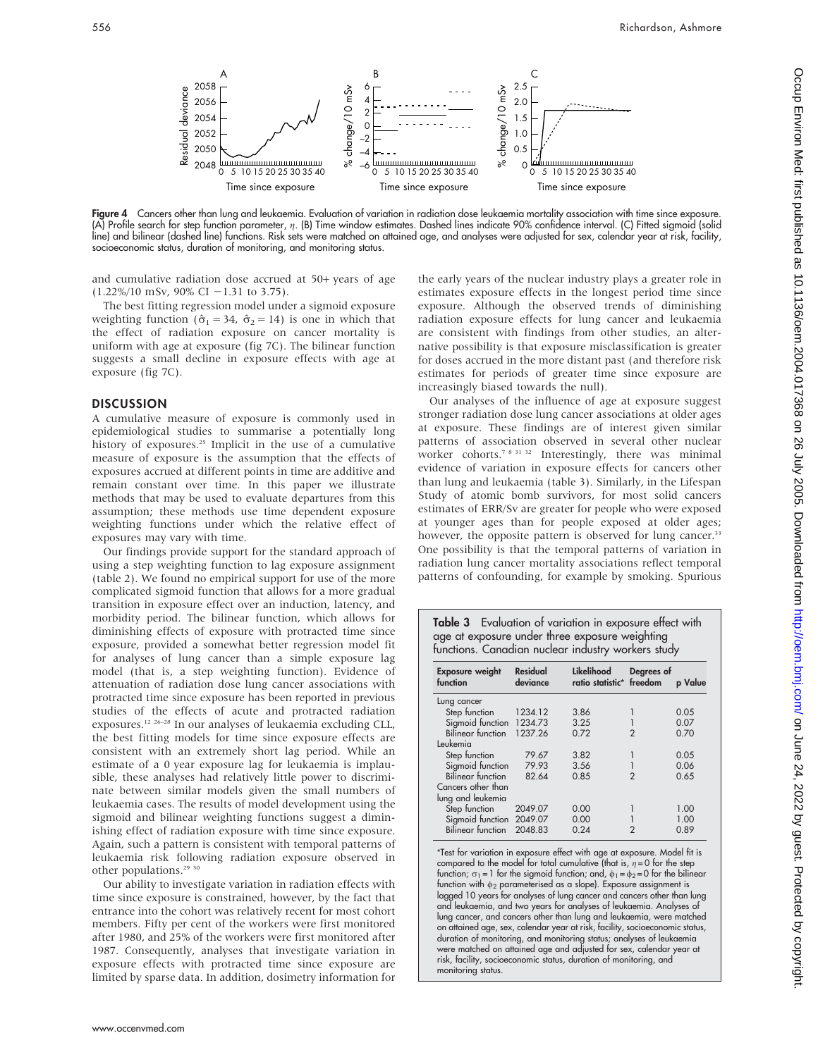

Figure 4 Cancers other than lung and leukaemia. Evaluation of variation in radiation dose leukaemia mortality association with time since exposure. (A) Profile search for step function parameter,  $\eta$ . (B) Time window estimates. Dashed lines indicate 90% confidence interval. (C) Fitted sigmoid (solid line) and bilinear (dashed line) functions. Risk sets were matched on attained age, and analyses were adjusted for sex, calendar year at risk, facility, socioeconomic status, duration of monitoring, and monitoring status.

and cumulative radiation dose accrued at 50+ years of age  $(1.22\%/10 \text{ mSv}, 90\% \text{ CI} - 1.31 \text{ to } 3.75).$ 

The best fitting regression model under a sigmoid exposure weighting function ( $\hat{\sigma}_1 = 34$ ,  $\hat{\sigma}_2 = 14$ ) is one in which that the effect of radiation exposure on cancer mortality is uniform with age at exposure (fig 7C). The bilinear function suggests a small decline in exposure effects with age at exposure (fig 7C).

## **DISCUSSION**

A cumulative measure of exposure is commonly used in epidemiological studies to summarise a potentially long history of exposures.<sup>25</sup> Implicit in the use of a cumulative measure of exposure is the assumption that the effects of exposures accrued at different points in time are additive and remain constant over time. In this paper we illustrate methods that may be used to evaluate departures from this assumption; these methods use time dependent exposure weighting functions under which the relative effect of exposures may vary with time.

Our findings provide support for the standard approach of using a step weighting function to lag exposure assignment (table 2). We found no empirical support for use of the more complicated sigmoid function that allows for a more gradual transition in exposure effect over an induction, latency, and morbidity period. The bilinear function, which allows for diminishing effects of exposure with protracted time since exposure, provided a somewhat better regression model fit for analyses of lung cancer than a simple exposure lag model (that is, a step weighting function). Evidence of attenuation of radiation dose lung cancer associations with protracted time since exposure has been reported in previous studies of the effects of acute and protracted radiation exposures.12 26–28 In our analyses of leukaemia excluding CLL, the best fitting models for time since exposure effects are consistent with an extremely short lag period. While an estimate of a 0 year exposure lag for leukaemia is implausible, these analyses had relatively little power to discriminate between similar models given the small numbers of leukaemia cases. The results of model development using the sigmoid and bilinear weighting functions suggest a diminishing effect of radiation exposure with time since exposure. Again, such a pattern is consistent with temporal patterns of leukaemia risk following radiation exposure observed in other populations.29 30

Our ability to investigate variation in radiation effects with time since exposure is constrained, however, by the fact that entrance into the cohort was relatively recent for most cohort members. Fifty per cent of the workers were first monitored after 1980, and 25% of the workers were first monitored after 1987. Consequently, analyses that investigate variation in exposure effects with protracted time since exposure are limited by sparse data. In addition, dosimetry information for the early years of the nuclear industry plays a greater role in estimates exposure effects in the longest period time since exposure. Although the observed trends of diminishing radiation exposure effects for lung cancer and leukaemia are consistent with findings from other studies, an alternative possibility is that exposure misclassification is greater for doses accrued in the more distant past (and therefore risk estimates for periods of greater time since exposure are increasingly biased towards the null).

Our analyses of the influence of age at exposure suggest stronger radiation dose lung cancer associations at older ages at exposure. These findings are of interest given similar patterns of association observed in several other nuclear worker cohorts.7 8 31 32 Interestingly, there was minimal evidence of variation in exposure effects for cancers other than lung and leukaemia (table 3). Similarly, in the Lifespan Study of atomic bomb survivors, for most solid cancers estimates of ERR/Sv are greater for people who were exposed at younger ages than for people exposed at older ages; however, the opposite pattern is observed for lung cancer.<sup>33</sup> One possibility is that the temporal patterns of variation in radiation lung cancer mortality associations reflect temporal patterns of confounding, for example by smoking. Spurious

| Table 3 Evaluation of variation in exposure effect with |
|---------------------------------------------------------|
| age at exposure under three exposure weighting          |
| functions. Canadian nuclear industry workers study      |

| <b>Exposure weight</b><br>function | Residual<br>deviance | Likelihood<br>ratio statistic* freedom | Degrees of | p Value |
|------------------------------------|----------------------|----------------------------------------|------------|---------|
| Lung cancer                        |                      |                                        |            |         |
| Step function                      | 1234.12              | 3.86                                   |            | 0.05    |
| Sigmoid function                   | 1234.73              | 3.25                                   |            | 0.07    |
| <b>Bilinear</b> function           | 1237.26              | 0.72                                   |            | 0.70    |
| Leukemia                           |                      |                                        |            |         |
| Step function                      | 79.67                | 3.82                                   |            | 0.05    |
| Sigmoid function                   | 79.93                | 3.56                                   |            | 0.06    |
| <b>Bilinear</b> function           | 82.64                | 0.85                                   |            | 0.65    |
| Cancers other than                 |                      |                                        |            |         |
| lung and leukemia                  |                      |                                        |            |         |
| Step function                      | 2049.07              | 0.00                                   |            | 1.00    |
| Sigmoid function 2049.07           |                      | 0.00                                   |            | 1.00    |
| <b>Bilinear</b> function           | 2048.83              | 0.24                                   | 2          | 0.89    |

\*Test for variation in exposure effect with age at exposure. Model fit is compared to the model for total cumulative (that is,  $\eta = 0$  for the step function;  $\sigma_1 = 1$  for the sigmoid function; and,  $\phi_1 = \phi_2 = 0$  for the bilinear function with  $\phi_2$  parameterised as a slope). Exposure assignment is lagged 10 years for analyses of lung cancer and cancers other than lung and leukaemia, and two years for analyses of leukaemia. Analyses of lung cancer, and cancers other than lung and leukaemia, were matched on attained age, sex, calendar year at risk, facility, socioeconomic status, duration of monitoring, and monitoring status; analyses of leukaemia were matched on attained age and adjusted for sex, calendar year at risk, facility, socioeconomic status, duration of monitoring, and monitoring status.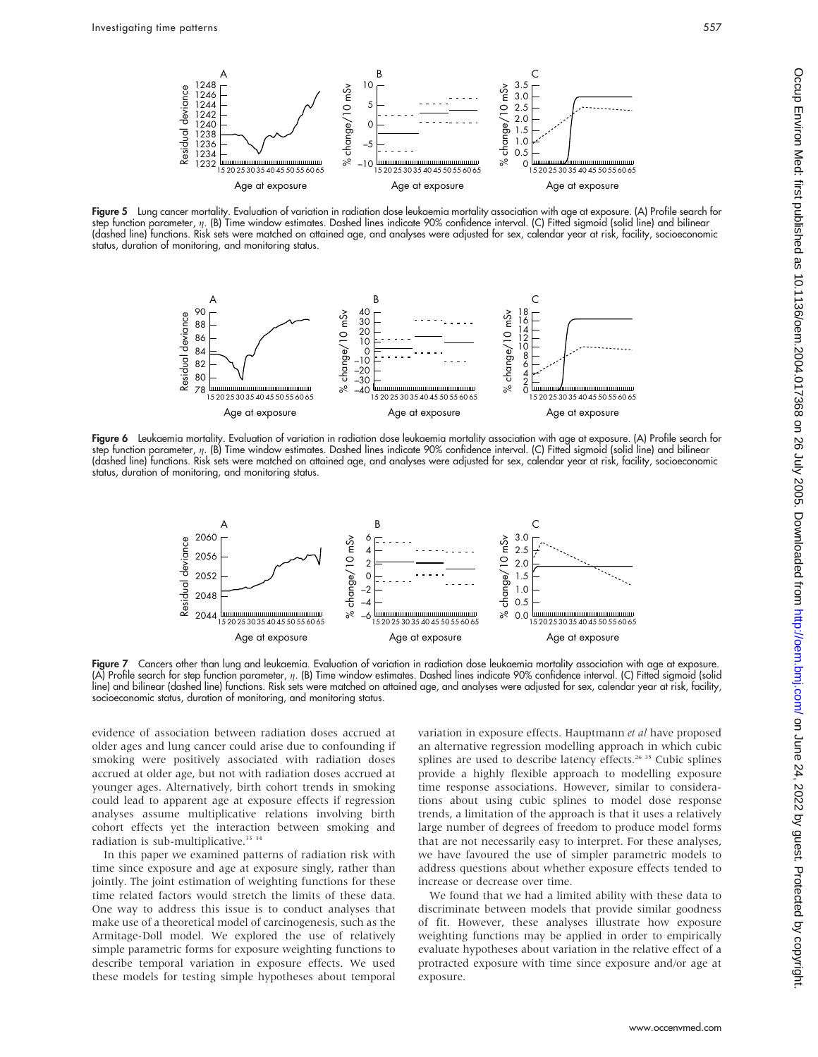

Figure 5 Lung cancer mortality. Evaluation of variation in radiation dose leukaemia mortality association with age at exposure. (A) Profile search for step function parameter,  $\eta$ . (B) Time window estimates. Dashed lines indicate 90% confidence interval. (C) Fitted sigmoid (solid line) and bilinear (dashed line) functions. Risk sets were matched on attained age, and analyses were adjusted for sex, calendar year at risk, facility, socioeconomic status, duration of monitoring, and monitoring status.



Figure 6 Leukaemia mortality. Evaluation of variation in radiation dose leukaemia mortality association with age at exposure. (A) Profile search for step function parameter,  $\eta$ . (B) Time window estimates. Dashed lines indicate 90% confidence interval. (C) Fitted sigmoid (solid line) and bilinear (dashed line) functions. Risk sets were matched on attained age, and analyses were adjusted for sex, calendar year at risk, facility, socioeconomic status, duration of monitoring, and monitoring status.



Figure 7 Cancers other than lung and leukaemia. Evaluation of variation in radiation dose leukaemia mortality association with age at exposure. (A) Profile search for step function parameter, g. (B) Time window estimates. Dashed lines indicate 90% confidence interval. (C) Fitted sigmoid (solid line) and bilinear (dashed line) functions. Risk sets were matched on attained age, and analyses were adjusted for sex, calendar year at risk, facility, socioeconomic status, duration of monitoring, and monitoring status.

evidence of association between radiation doses accrued at older ages and lung cancer could arise due to confounding if smoking were positively associated with radiation doses accrued at older age, but not with radiation doses accrued at younger ages. Alternatively, birth cohort trends in smoking could lead to apparent age at exposure effects if regression analyses assume multiplicative relations involving birth cohort effects yet the interaction between smoking and radiation is sub-multiplicative.<sup>33</sup> <sup>34</sup>

In this paper we examined patterns of radiation risk with time since exposure and age at exposure singly, rather than jointly. The joint estimation of weighting functions for these time related factors would stretch the limits of these data. One way to address this issue is to conduct analyses that make use of a theoretical model of carcinogenesis, such as the Armitage-Doll model. We explored the use of relatively simple parametric forms for exposure weighting functions to describe temporal variation in exposure effects. We used these models for testing simple hypotheses about temporal

variation in exposure effects. Hauptmann et al have proposed an alternative regression modelling approach in which cubic splines are used to describe latency effects.<sup>26 35</sup> Cubic splines provide a highly flexible approach to modelling exposure time response associations. However, similar to considerations about using cubic splines to model dose response trends, a limitation of the approach is that it uses a relatively large number of degrees of freedom to produce model forms that are not necessarily easy to interpret. For these analyses, we have favoured the use of simpler parametric models to address questions about whether exposure effects tended to increase or decrease over time.

We found that we had a limited ability with these data to discriminate between models that provide similar goodness of fit. However, these analyses illustrate how exposure weighting functions may be applied in order to empirically evaluate hypotheses about variation in the relative effect of a protracted exposure with time since exposure and/or age at exposure.